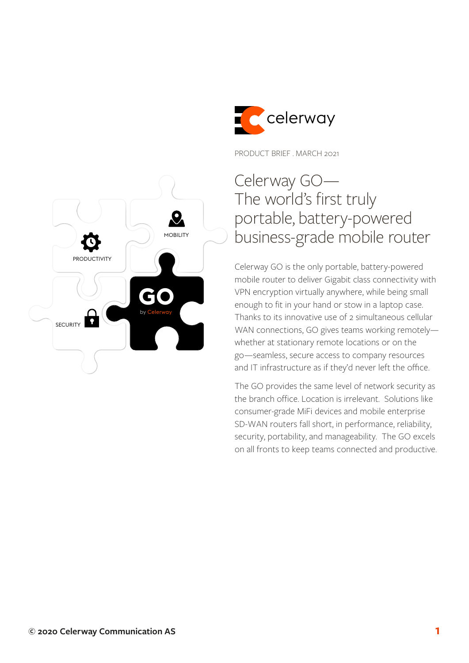

PRODUCT BRIEF . MARCH 2021

# Celerway GO— The world's first truly portable, battery-powered business-grade mobile router

Celerway GO is the only portable, battery-powered mobile router to deliver Gigabit class connectivity with VPN encryption virtually anywhere, while being small enough to fit in your hand or stow in a laptop case. Thanks to its innovative use of 2 simultaneous cellular WAN connections, GO gives teams working remotely whether at stationary remote locations or on the go—seamless, secure access to company resources and IT infrastructure as if they'd never left the office.

The GO provides the same level of network security as the branch office. Location is irrelevant. Solutions like consumer-grade MiFi devices and mobile enterprise SD-WAN routers fall short, in performance, reliability, security, portability, and manageability. The GO excels on all fronts to keep teams connected and productive.

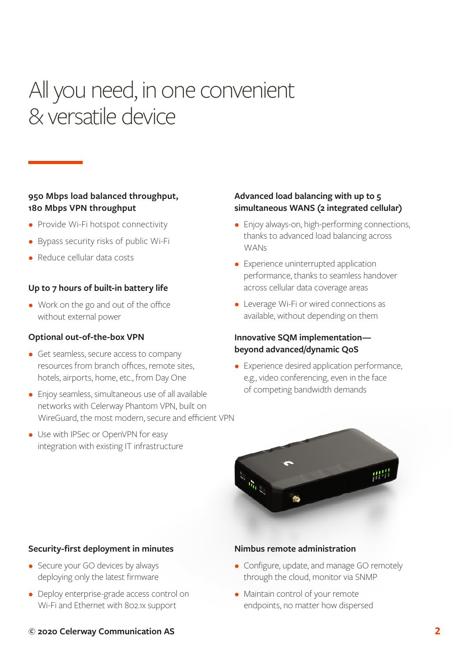# All you need, in one convenient & versatile device

## **950 Mbps load balanced throughput, 180 Mbps VPN throughput**

- Provide Wi-Fi hotspot connectivity
- Bypass security risks of public Wi-Fi
- Reduce cellular data costs

### **Up to 7 hours of built-in battery life**

• Work on the go and out of the office without external power

#### **Optional out-of-the-box VPN**

- Get seamless, secure access to company resources from branch offices, remote sites, hotels, airports, home, etc., from Day One
- Enjoy seamless, simultaneous use of all available networks with Celerway Phantom VPN, built on WireGuard, the most modern, secure and efficient VPN
- Use with IPSec or OpenVPN for easy integration with existing IT infrastructure

### **Advanced load balancing with up to 5 simultaneous WANS (2 integrated cellular)**

- Enjoy always-on, high-performing connections, thanks to advanced load balancing across **WANs**
- Experience uninterrupted application performance, thanks to seamless handover across cellular data coverage areas
- Leverage Wi-Fi or wired connections as available, without depending on them

## **Innovative SQM implementation beyond advanced/dynamic QoS**

• Experience desired application performance, e.g., video conferencing, even in the face of competing bandwidth demands



#### **Security-first deployment in minutes**

- Secure your GO devices by always deploying only the latest firmware
- Deploy enterprise-grade access control on Wi-Fi and Ethernet with 802.1x support

#### **Nimbus remote administration**

- Configure, update, and manage GO remotely through the cloud, monitor via SNMP
- Maintain control of your remote endpoints, no matter how dispersed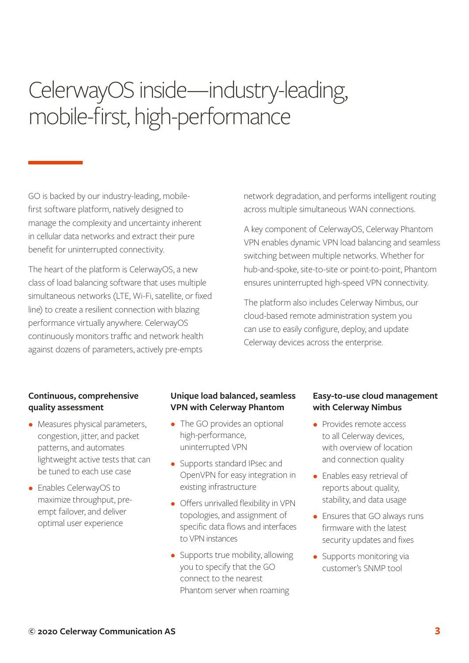# CelerwayOS inside—industry-leading, mobile-first, high-performance

GO is backed by our industry-leading, mobilefirst software platform, natively designed to manage the complexity and uncertainty inherent in cellular data networks and extract their pure benefit for uninterrupted connectivity.

The heart of the platform is CelerwayOS, a new class of load balancing software that uses multiple simultaneous networks (LTE, Wi-Fi, satellite, or fixed line) to create a resilient connection with blazing performance virtually anywhere. CelerwayOS continuously monitors traffic and network health against dozens of parameters, actively pre-empts

network degradation, and performs intelligent routing across multiple simultaneous WAN connections.

A key component of CelerwayOS, Celerway Phantom VPN enables dynamic VPN load balancing and seamless switching between multiple networks. Whether for hub-and-spoke, site-to-site or point-to-point, Phantom ensures uninterrupted high-speed VPN connectivity.

The platform also includes Celerway Nimbus, our cloud-based remote administration system you can use to easily configure, deploy, and update Celerway devices across the enterprise.

### **Continuous, comprehensive quality assessment**

- Measures physical parameters, congestion, jitter, and packet patterns, and automates lightweight active tests that can be tuned to each use case
- Enables CelerwayOS to maximize throughput, preempt failover, and deliver optimal user experience

# **Unique load balanced, seamless VPN with Celerway Phantom**

- The GO provides an optional high-performance, uninterrupted VPN
- Supports standard IPsec and OpenVPN for easy integration in existing infrastructure
- Offers unrivalled flexibility in VPN topologies, and assignment of specific data flows and interfaces to VPN instances
- Supports true mobility, allowing you to specify that the GO connect to the nearest Phantom server when roaming

### **Easy-to-use cloud management with Celerway Nimbus**

- Provides remote access to all Celerway devices, with overview of location and connection quality
- Enables easy retrieval of reports about quality, stability, and data usage
- Ensures that GO always runs firmware with the latest security updates and fixes
- Supports monitoring via customer's SNMP tool